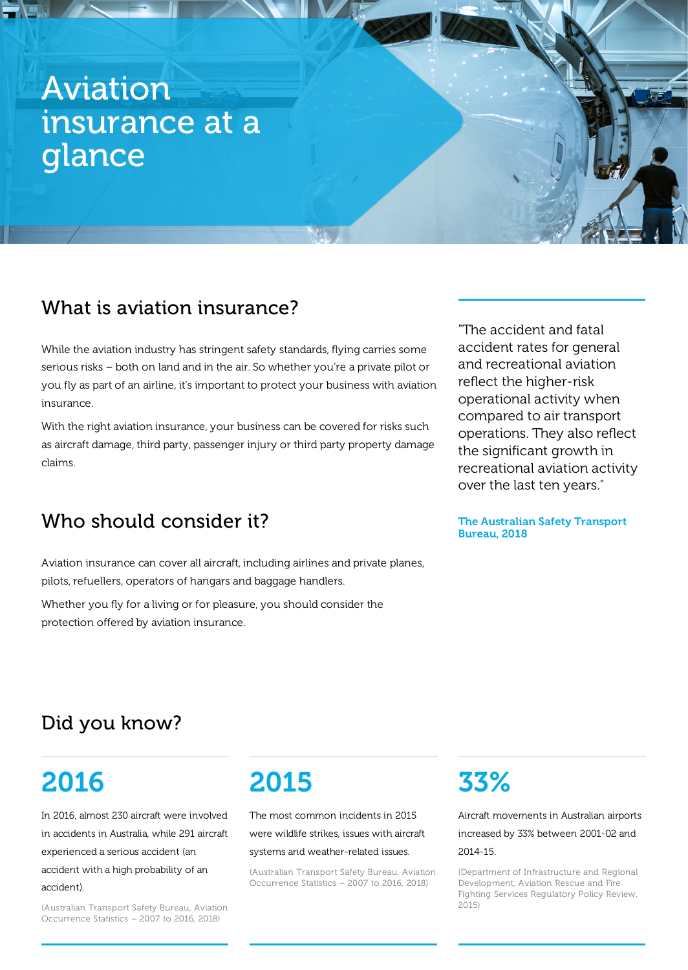# Aviation insurance at a glance

## What is aviation insurance?

While the aviation industry has stringent safety standards, flying carries some serious risks – both on land and in the air. So whether you're a private pilot or you fly as part of an airline, it's important to protect your business with aviation insurance.

With the right aviation insurance, your business can be covered for risks such as aircraft damage, third party, passenger injury or third party property damage claims.

## Who should consider it?

Aviation insurance can cover all aircraft, including airlines and private planes, pilots, refuellers, operators of hangars and baggage handlers.

Whether you fly for a living or for pleasure, you should consider the protection offered by aviation insurance.

"The accident and fatal accident rates for general and recreational aviation reflect the higher-risk operational activity when compared to air transport operations. They also reflect the significant growth in recreational aviation activity over the last ten years."

#### The Australian Safety Transport Bureau, 2018

## Did you know?

# 2016

In 2016, almost 230 aircraft were involved in accidents in Australia, while 291 aircraft experienced a serious accident (an accident with a high probability of an accident).

(Australian Transport Safety Bureau, Aviation Occurrence Statistics – 2007 to 2016, 2018)

# 2015

The most common incidents in 2015

were wildlife strikes, issues with aircraft

systems and weather-related issues.

(Australian Transport Safety Bureau, Aviation Occurrence Statistics – 2007 to 2016, 2018)

# 33%

Aircraft movements in Australian airports increased by 33% between 2001-02 and 2014-15.

(Department of Infrastructure and Regional Development, Aviation Rescue and Fire Fighting Services Regulatory Policy Review, 2015)